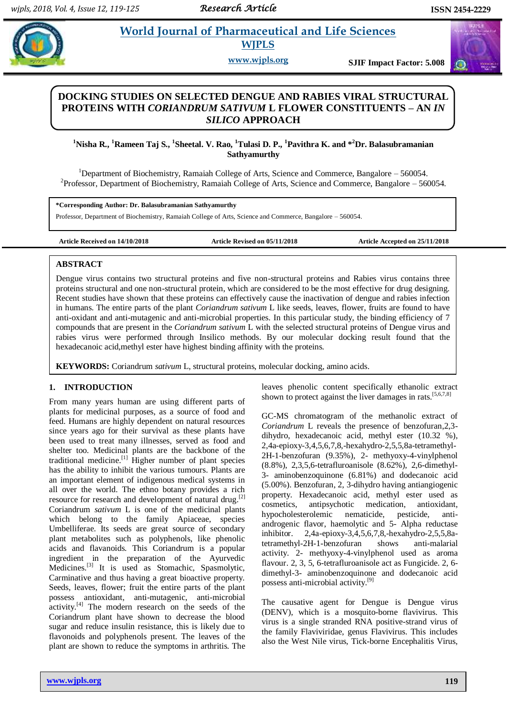# **Paramidical** *et al. and Life Sciences* **WJPLS**

**www.wjpls.org SJIF Impact Factor: 5.008**

# **DOCKING STUDIES ON SELECTED DENGUE AND RABIES VIRAL STRUCTURAL PROTEINS WITH** *CORIANDRUM SATIVUM* **L FLOWER CONSTITUENTS – AN** *IN SILICO* **APPROACH**

# **<sup>1</sup>Nisha R., <sup>1</sup>Rameen Taj S., <sup>1</sup> Sheetal. V. Rao, <sup>1</sup>Tulasi D. P., <sup>1</sup>Pavithra K. and \*<sup>2</sup>Dr. Balasubramanian Sathyamurthy**

<sup>1</sup>Department of Biochemistry, Ramaiah College of Arts, Science and Commerce, Bangalore – 560054. <sup>2</sup>Professor, Department of Biochemistry, Ramaiah College of Arts, Science and Commerce, Bangalore  $-560054$ .

**\*Corresponding Author: Dr. Balasubramanian Sathyamurthy**

Professor, Department of Biochemistry, Ramaiah College of Arts, Science and Commerce, Bangalore – 560054.

**Article Received on 14/10/2018 Article Revised on 05/11/2018 Article Accepted on 25/11/2018**

# **ABSTRACT**

Dengue virus contains two structural proteins and five non-structural proteins and Rabies virus contains three proteins structural and one non-structural protein, which are considered to be the most effective for drug designing. Recent studies have shown that these proteins can effectively cause the inactivation of dengue and rabies infection in humans. The entire parts of the plant *Coriandrum sativum* L like seeds, leaves, flower, fruits are found to have anti-oxidant and anti-mutagenic and anti-microbial properties. In this particular study, the binding efficiency of 7 compounds that are present in the *Coriandrum sativum* L with the selected structural proteins of Dengue virus and rabies virus were performed through Insilico methods. By our molecular docking result found that the hexadecanoic acid,methyl ester have highest binding affinity with the proteins.

**KEYWORDS:** Coriandrum *sativum* L, structural proteins, molecular docking, amino acids.

# **1. INTRODUCTION**

From many years human are using different parts of plants for medicinal purposes, as a source of food and feed. Humans are highly dependent on natural resources since years ago for their survival as these plants have been used to treat many illnesses, served as food and shelter too. Medicinal plants are the backbone of the traditional medicine.<sup>[1]</sup> Higher number of plant species has the ability to inhibit the various tumours. Plants are an important element of indigenous medical systems in all over the world. The ethno botany provides a rich resource for research and development of natural drug.<sup>[2]</sup> Coriandrum *sativum* L is one of the medicinal plants which belong to the family Apiaceae, species Umbelliferae. Its seeds are great source of secondary plant metabolites such as polyphenols, like phenolic acids and flavanoids. This Coriandrum is a popular ingredient in the preparation of the Ayurvedic Medicines.<sup>[3]</sup> It is used as Stomachic, Spasmolytic, Carminative and thus having a great bioactive property. Seeds, leaves, flower; fruit the entire parts of the plant possess antioxidant, anti-mutagenic, anti-microbial activity.<sup>[4]</sup> The modern research on the seeds of the Coriandrum plant have shown to decrease the blood sugar and reduce insulin resistance, this is likely due to flavonoids and polyphenols present. The leaves of the plant are shown to reduce the symptoms in arthritis. The leaves phenolic content specifically ethanolic extract shown to protect against the liver damages in rats.<sup>[5,6,7,8]</sup>

GC-MS chromatogram of the methanolic extract of *Coriandrum* L reveals the presence of benzofuran,2,3 dihydro, hexadecanoic acid, methyl ester (10.32 %), 2,4a-epioxy-3,4,5,6,7,8,-hexahydro-2,5,5,8a-tetramethyl-2H-1-benzofuran (9.35%), 2- methyoxy-4-vinylphenol (8.8%), 2,3,5,6-tetrafluroanisole (8.62%), 2,6-dimethyl-3- aminobenzoquinone (6.81%) and dodecanoic acid (5.00%). Benzofuran, 2, 3-dihydro having antiangiogenic property. Hexadecanoic acid, methyl ester used as cosmetics, antipsychotic medication, antioxidant, hypocholesterolemic nematicide, pesticide, antiandrogenic flavor, haemolytic and 5- Alpha reductase inhibitor. 2,4a-epioxy-3,4,5,6,7,8,-hexahydro-2,5,5,8atetramethyl-2H-1-benzofuran shows anti-malarial activity. 2- methyoxy-4-vinylphenol used as aroma flavour. 2, 3, 5, 6-tetrafluroanisole act as Fungicide. 2, 6 dimethyl-3- aminobenzoquinone and dodecanoic acid possess anti-microbial activity.<sup>[9]</sup>

The causative agent for Dengue is Dengue virus (DENV), which is a mosquito-borne flavivirus. This virus is a single stranded RNA positive-strand virus of the family Flaviviridae, genus Flavivirus. This includes also the West Nile virus, Tick-borne Encephalitis Virus,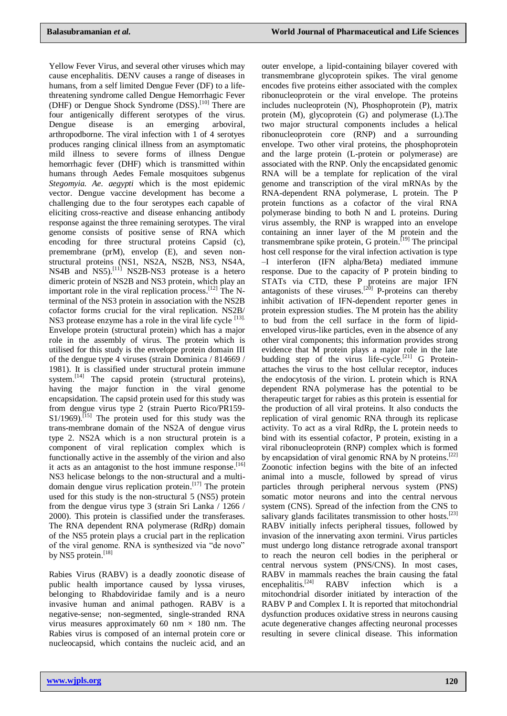Yellow Fever Virus, and several other viruses which may cause encephalitis. DENV causes a range of diseases in humans, from a self limited Dengue Fever (DF) to a lifethreatening syndrome called Dengue Hemorrhagic Fever (DHF) or Dengue Shock Syndrome (DSS). [10] There are four antigenically different serotypes of the virus. Dengue disease is an emerging arboviral, arthropodborne. The viral infection with 1 of 4 serotyes produces ranging clinical illness from an asymptomatic mild illness to severe forms of illness Dengue hemorrhagic fever (DHF) which is transmitted within humans through Aedes Female mosquitoes subgenus *Stegomyia. Ae. aegypti* which is the most epidemic vector. Dengue vaccine development has become a challenging due to the four serotypes each capable of eliciting cross-reactive and disease enhancing antibody response against the three remaining serotypes. The viral genome consists of positive sense of RNA which encoding for three structural proteins Capsid (c), premembrane (prM), envelop (E), and seven nonstructural proteins (NS1, NS2A, NS2B, NS3, NS4A, NS4B and NS5).<sup>[11]</sup> NS2B-NS3 protease is a hetero dimeric protein of NS2B and NS3 protein, which play an important role in the viral replication process.<sup>[12]</sup> The Nterminal of the NS3 protein in association with the NS2B cofactor forms crucial for the viral replication. NS2B/ NS3 protease enzyme has a role in the viral life cycle [13]. Envelope protein (structural protein) which has a major role in the assembly of virus. The protein which is utilised for this study is the envelope protein domain III of the dengue type 4 viruses (strain Dominica / 814669 / 1981). It is classified under structural protein immune system.<sup>[14]</sup> The capsid protein (structural proteins), having the major function in the viral genome encapsidation. The capsid protein used for this study was from dengue virus type 2 (strain Puerto Rico/PR159-  $S1/1969$ ).<sup>[15]</sup> The protein used for this study was the trans-membrane domain of the NS2A of dengue virus type 2. NS2A which is a non structural protein is a component of viral replication complex which is functionally active in the assembly of the virion and also it acts as an antagonist to the host immune response.<sup>[16]</sup> NS3 helicase belongs to the non-structural and a multidomain dengue virus replication protein.<sup>[17]</sup> The protein used for this study is the non-structural 5 (NS5) protein from the dengue virus type 3 (strain Sri Lanka / 1266 / 2000). This protein is classified under the transferases. The RNA dependent RNA polymerase (RdRp) domain of the NS5 protein plays a crucial part in the replication of the viral genome. RNA is synthesized via "de novo" by NS5 protein.<sup>[18]</sup>

Rabies Virus (RABV) is a deadly zoonotic disease of public health importance caused by lyssa viruses, belonging to Rhabdoviridae family and is a neuro invasive human and animal pathogen. RABV is a negative-sense; non-segmented, single-stranded RNA virus measures approximately 60 nm  $\times$  180 nm. The Rabies virus is composed of an internal protein core or nucleocapsid, which contains the nucleic acid, and an

outer envelope, a lipid-containing bilayer covered with transmembrane glycoprotein spikes. The viral genome encodes five proteins either associated with the complex ribonucleoprotein or the viral envelope. The proteins includes nucleoprotein (N), Phosphoprotein (P), matrix protein (M), glycoprotein (G) and polymerase (L).The two major structural components includes a helical ribonucleoprotein core (RNP) and a surrounding envelope. Two other viral proteins, the phosphoprotein and the large protein (L-protein or polymerase) are associated with the RNP. Only the encapsidated genomic RNA will be a template for replication of the viral genome and transcription of the viral mRNAs by the RNA-dependent RNA polymerase, L protein. The P protein functions as a cofactor of the viral RNA polymerase binding to both N and L proteins. During virus assembly, the RNP is wrapped into an envelope containing an inner layer of the M protein and the transmembrane spike protein, G protein.<sup>[19]</sup> The principal host cell response for the viral infection activation is type –I interferon (IFN alpha/Beta) mediated immune response. Due to the capacity of P protein binding to STATs via CTD, these P proteins are major IFN antagonists of these viruses.<sup>[20]</sup> P-proteins can thereby inhibit activation of IFN-dependent reporter genes in protein expression studies. The M protein has the ability to bud from the cell surface in the form of lipidenveloped virus-like particles, even in the absence of any other viral components; this information provides strong evidence that M protein plays a major role in the late budding step of the virus life-cycle.<sup>[21]</sup> G Proteinattaches the virus to the host cellular receptor, induces the endocytosis of the virion. L protein which is RNA dependent RNA polymerase has the potential to be therapeutic target for rabies as this protein is essential for the production of all viral proteins. It also conducts the replication of viral genomic RNA through its replicase activity. To act as a viral RdRp, the L protein needs to bind with its essential cofactor, P protein, existing in a viral ribonucleoprotein (RNP) complex which is formed by encapsidation of viral genomic RNA by N proteins.<sup>[22]</sup> Zoonotic infection begins with the bite of an infected animal into a muscle, followed by spread of virus particles through peripheral nervous system (PNS) somatic motor neurons and into the central nervous system (CNS). Spread of the infection from the CNS to salivary glands facilitates transmission to other hosts.<sup>[23]</sup> RABV initially infects peripheral tissues, followed by invasion of the innervating axon termini. Virus particles must undergo long distance retrograde axonal transport to reach the neuron cell bodies in the peripheral or central nervous system (PNS/CNS). In most cases, RABV in mammals reaches the brain causing the fatal encephalitis.<sup>[24]</sup> RABV infection which is mitochondrial disorder initiated by interaction of the RABV P and Complex I. It is reported that mitochondrial dysfunction produces oxidative stress in neurons causing acute degenerative changes affecting neuronal processes resulting in severe clinical disease. This information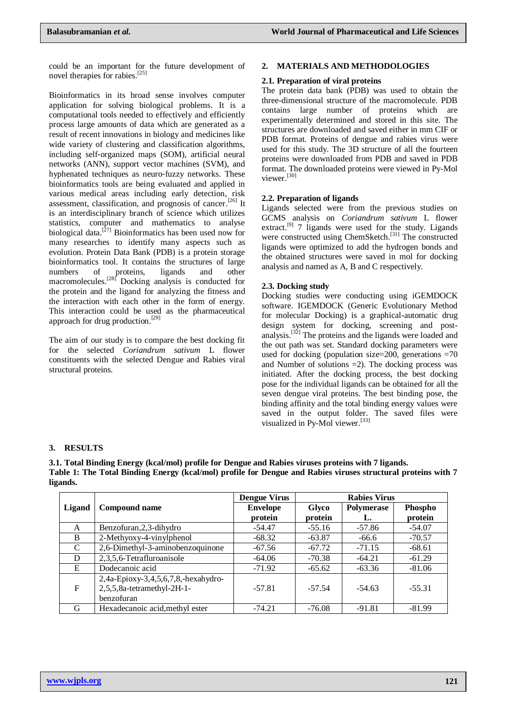could be an important for the future development of novel therapies for rabies.<sup>[25]</sup>

Bioinformatics in its broad sense involves computer application for solving biological problems. It is a computational tools needed to effectively and efficiently process large amounts of data which are generated as a result of recent innovations in biology and medicines like wide variety of clustering and classification algorithms, including self‐organized maps (SOM), artificial neural networks (ANN), support vector machines (SVM), and hyphenated techniques as neuro-fuzzy networks. These bioinformatics tools are being evaluated and applied in various medical areas including early detection, risk assessment, classification, and prognosis of cancer.<sup>[26]</sup> It is an interdisciplinary branch of science which utilizes statistics, computer and mathematics to analyse biological data.<sup>[27]</sup> Bioinformatics has been used now for many researches to identify many aspects such as evolution. Protein Data Bank (PDB) is a protein storage bioinformatics tool. It contains the structures of large numbers of proteins, ligands and other macromolecules.<sup>[28]</sup> Docking analysis is conducted for the protein and the ligand for analyzing the fitness and the interaction with each other in the form of energy. This interaction could be used as the pharmaceutical approach for drug production.<sup>[29]</sup>

The aim of our study is to compare the best docking fit for the selected *Coriandrum sativum* L flower constituents with the selected Dengue and Rabies viral structural proteins.

### **2. MATERIALS AND METHODOLOGIES**

### **2.1. Preparation of viral proteins**

The protein data bank (PDB) was used to obtain the three-dimensional structure of the macromolecule. PDB contains large number of proteins which are experimentally determined and stored in this site. The structures are downloaded and saved either in mm CIF or PDB format. Proteins of dengue and rabies virus were used for this study. The 3D structure of all the fourteen proteins were downloaded from PDB and saved in PDB format. The downloaded proteins were viewed in Py-Mol viewer.[30]

### **2.2. Preparation of ligands**

Ligands selected were from the previous studies on GCMS analysis on *Coriandrum sativum* L flower extract.<sup>[9]</sup> 7 ligands were used for the study. Ligands were constructed using ChemSketch. [31] The constructed ligands were optimized to add the hydrogen bonds and the obtained structures were saved in mol for docking analysis and named as A, B and C respectively.

### **2.3. Docking study**

Docking studies were conducting using iGEMDOCK software. IGEMDOCK (Generic Evolutionary Method for molecular Docking) is a graphical-automatic drug design system for docking, screening and postanalysis.<sup>[32]</sup> The proteins and the ligands were loaded and the out path was set. Standard docking parameters were used for docking (population size=200, generations =70 and Number of solutions  $=2$ ). The docking process was initiated. After the docking process, the best docking pose for the individual ligands can be obtained for all the seven dengue viral proteins. The best binding pose, the binding affinity and the total binding energy values were saved in the output folder. The saved files were visualized in Py-Mol viewer.<sup>[33]</sup>

### **3. RESULTS**

**3.1. Total Binding Energy (kcal/mol) profile for Dengue and Rabies viruses proteins with 7 ligands. Table 1: The Total Binding Energy (kcal/mol) profile for Dengue and Rabies viruses structural proteins with 7 ligands.**

|        |                                     | <b>Dengue Virus</b> | <b>Rabies Virus</b> |            |          |
|--------|-------------------------------------|---------------------|---------------------|------------|----------|
| Ligand | <b>Compound name</b>                | <b>Envelope</b>     | Glyco               | Polymerase | Phospho  |
|        |                                     | protein             | protein             | L.         | protein  |
| A      | Benzofuran, 2, 3-dihydro            | -54.47              | $-55.16$            | $-57.86$   | -54.07   |
| B      | 2-Methyoxy-4-vinylphenol            | $-68.32$            | $-63.87$            | $-66.6$    | $-70.57$ |
| C      | 2,6-Dimethyl-3-aminobenzoquinone    | $-67.56$            | $-67.72$            | $-71.15$   | $-68.61$ |
| D      | 2,3,5,6-Tetrafluroanisole           | -64.06              | $-70.38$            | $-64.21$   | $-61.29$ |
| E      | Dodecanoic acid                     | $-71.92$            | $-65.62$            | $-63.36$   | -81.06   |
|        | 2,4a-Epioxy-3,4,5,6,7,8,-hexahydro- |                     |                     |            |          |
| F      | 2,5,5,8a-tetramethyl-2H-1-          | $-57.81$            | $-57.54$            | $-54.63$   | $-55.31$ |
|        | benzofuran                          |                     |                     |            |          |
| G      | Hexadecanoic acid, methyl ester     | $-74.21$            | $-76.08$            | $-91.81$   | $-81.99$ |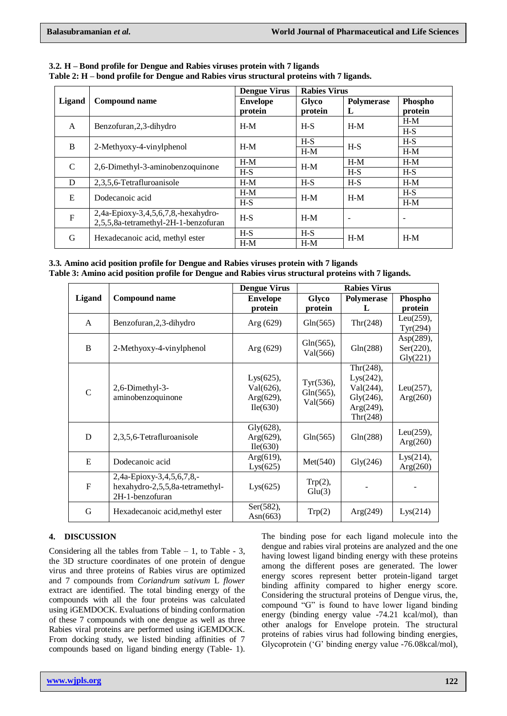| Ligand       | Compound name                                                               | <b>Dengue Virus</b><br><b>Envelope</b><br>protein | <b>Rabies Virus</b> |                 |                    |
|--------------|-----------------------------------------------------------------------------|---------------------------------------------------|---------------------|-----------------|--------------------|
|              |                                                                             |                                                   | Glyco<br>protein    | Polymerase<br>L | Phospho<br>protein |
| A            | Benzofuran, 2, 3-dihydro                                                    | $H-M$                                             | $H-S$               | $H-M$           | $H-M$              |
|              |                                                                             |                                                   |                     |                 | $H-S$              |
| B            | 2-Methyoxy-4-vinylphenol                                                    | $H-M$                                             | $H-S$               | $H-S$           | $H-S$              |
|              |                                                                             |                                                   | $H-M$               |                 | $H-M$              |
| C            | 2,6-Dimethyl-3-aminobenzoquinone                                            | $H-M$                                             | $H-M$               | $H-M$           | $H-M$              |
|              |                                                                             | $H-S$                                             |                     | $H-S$           | $H-S$              |
| D            | 2,3,5,6-Tetrafluroanisole                                                   | $H-M$                                             | $H-S$               | $H-S$           | $H-M$              |
| E            | Dodecanoic acid                                                             | $H-M$                                             | $H-M$               | $H-M$           | $H-S$              |
|              |                                                                             | $H-S$                                             |                     |                 | $H-M$              |
| $\mathbf{F}$ | 2,4a-Epioxy-3,4,5,6,7,8,-hexahydro-<br>2,5,5,8a-tetramethyl-2H-1-benzofuran | $H-S$                                             | $H-M$               |                 | ۰                  |
| G            | Hexadecanoic acid, methyl ester                                             | $H-S$                                             | $H-S$               | $H-M$           | $H-M$              |
|              |                                                                             | $H-M$                                             | $H-M$               |                 |                    |

**3.2. H – Bond profile for Dengue and Rabies viruses protein with 7 ligands Table 2: H – bond profile for Dengue and Rabies virus structural proteins with 7 ligands.**

**3.3. Amino acid position profile for Dengue and Rabies viruses protein with 7 ligands Table 3: Amino acid position profile for Dengue and Rabies virus structural proteins with 7 ligands.**

|               |                                                                                 | <b>Rabies Virus</b><br><b>Dengue Virus</b>             |                                       |                                                                                  |                                                 |
|---------------|---------------------------------------------------------------------------------|--------------------------------------------------------|---------------------------------------|----------------------------------------------------------------------------------|-------------------------------------------------|
| <b>Ligand</b> | <b>Compound name</b>                                                            | <b>Envelope</b>                                        | Glyco                                 | Polymerase                                                                       | Phospho                                         |
|               |                                                                                 | protein                                                | protein                               | L                                                                                | protein                                         |
| A             | Benzofuran, 2, 3-dihydro                                                        | Arg $(629)$                                            | Gln(565)                              | Thr(248)                                                                         | Leu $(259)$ ,<br>Tyr(294)                       |
| B             | 2-Methyoxy-4-vinylphenol                                                        | Arg (629)                                              | $Gln(565)$ ,<br>Val(566)              | Gln(288)                                                                         | Asp $(289)$ ,<br>Ser(220),<br>$\text{Gly}(221)$ |
| $\mathcal{C}$ | 2,6-Dimethyl-3-<br>aminobenzoquinone                                            | $Lys(625)$ ,<br>Val(626),<br>Arg $(629)$ ,<br>Ile(630) | Tyr(536),<br>$Gln(565)$ ,<br>Val(566) | Thr $(248)$ ,<br>Lys(242),<br>Val(244),<br>Gly(246),<br>$Arg(249)$ ,<br>Thr(248) | Leu $(257)$ ,<br>Arg(260)                       |
| D             | 2,3,5,6-Tetrafluroanisole                                                       | Gly(628),<br>Arg $(629)$ ,<br>Ile(630)                 | Gln(565)                              | Gln(288)                                                                         | Leu $(259)$ ,<br>Arg(260)                       |
| E             | Dodecanoic acid                                                                 | $Arg(619)$ ,<br>Lys(625)                               | Met(540)                              | $\text{Gly}(246)$                                                                | Lys(214),<br>Arg(260)                           |
| F             | 2,4a-Epioxy-3,4,5,6,7,8,-<br>hexahydro-2,5,5,8a-tetramethyl-<br>2H-1-benzofuran | Lys(625)                                               | $Trp(2)$ ,<br>Glu(3)                  |                                                                                  |                                                 |
| G             | Hexadecanoic acid, methyl ester                                                 | Ser(582),<br>Asn $(663)$                               | Trp(2)                                | Arg(249)                                                                         | Lys(214)                                        |

# **4. DISCUSSION**

Considering all the tables from Table  $-1$ , to Table  $-3$ , the 3D structure coordinates of one protein of dengue virus and three proteins of Rabies virus are optimized and 7 compounds from *Coriandrum sativum* L *flower* extract are identified. The total binding energy of the compounds with all the four proteins was calculated using iGEMDOCK. Evaluations of binding conformation of these 7 compounds with one dengue as well as three Rabies viral proteins are performed using iGEMDOCK. From docking study, we listed binding affinities of 7 compounds based on ligand binding energy (Table- 1).

The binding pose for each ligand molecule into the dengue and rabies viral proteins are analyzed and the one having lowest ligand binding energy with these proteins among the different poses are generated. The lower energy scores represent better protein-ligand target binding affinity compared to higher energy score. Considering the structural proteins of Dengue virus, the, compound "G" is found to have lower ligand binding energy (binding energy value -74.21 kcal/mol), than other analogs for Envelope protein. The structural proteins of rabies virus had following binding energies, Glycoprotein ('G' binding energy value -76.08kcal/mol),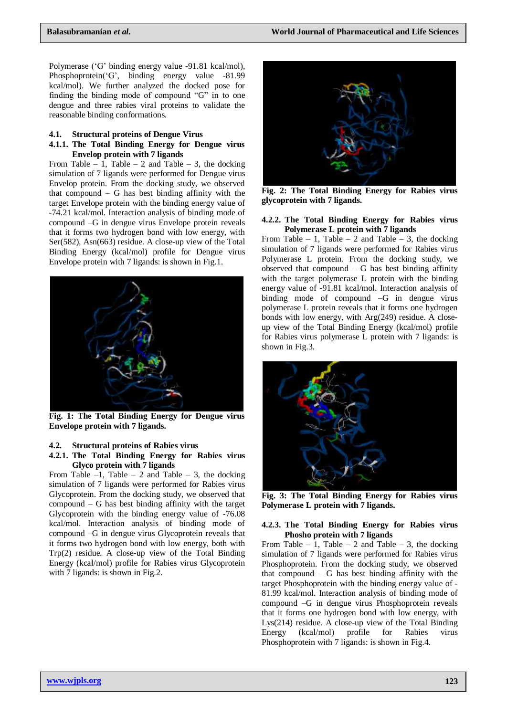Polymerase ('G' binding energy value -91.81 kcal/mol), Phosphoprotein('G', binding energy value -81.99 kcal/mol). We further analyzed the docked pose for finding the binding mode of compound "G" in to one dengue and three rabies viral proteins to validate the reasonable binding conformations.

#### **4.1. Structural proteins of Dengue Virus**

#### **4.1.1. The Total Binding Energy for Dengue virus Envelop protein with 7 ligands**

From Table – 1, Table – 2 and Table – 3, the docking simulation of 7 ligands were performed for Dengue virus Envelop protein. From the docking study, we observed that compound  $-$  G has best binding affinity with the target Envelope protein with the binding energy value of -74.21 kcal/mol. Interaction analysis of binding mode of compound –G in dengue virus Envelope protein reveals that it forms two hydrogen bond with low energy, with Ser(582), Asn(663) residue. A close-up view of the Total Binding Energy (kcal/mol) profile for Dengue virus Envelope protein with 7 ligands: is shown in Fig.1.



**Fig. 1: The Total Binding Energy for Dengue virus Envelope protein with 7 ligands.**

### **4.2. Structural proteins of Rabies virus**

### **4.2.1. The Total Binding Energy for Rabies virus Glyco protein with 7 ligands**

From Table  $-1$ , Table  $-2$  and Table  $-3$ , the docking simulation of 7 ligands were performed for Rabies virus Glycoprotein. From the docking study, we observed that compound – G has best binding affinity with the target Glycoprotein with the binding energy value of -76.08 kcal/mol. Interaction analysis of binding mode of compound –G in dengue virus Glycoprotein reveals that it forms two hydrogen bond with low energy, both with Trp(2) residue. A close-up view of the Total Binding Energy (kcal/mol) profile for Rabies virus Glycoprotein with 7 ligands: is shown in Fig.2.



**Fig. 2: The Total Binding Energy for Rabies virus glycoprotein with 7 ligands.**

### **4.2.2. The Total Binding Energy for Rabies virus Polymerase L protein with 7 ligands**

From Table – 1, Table – 2 and Table – 3, the docking simulation of 7 ligands were performed for Rabies virus Polymerase L protein. From the docking study, we observed that compound  $-$  G has best binding affinity with the target polymerase L protein with the binding energy value of -91.81 kcal/mol. Interaction analysis of binding mode of compound –G in dengue virus polymerase L protein reveals that it forms one hydrogen bonds with low energy, with Arg(249) residue. A closeup view of the Total Binding Energy (kcal/mol) profile for Rabies virus polymerase L protein with 7 ligands: is shown in Fig.3.



**Fig. 3: The Total Binding Energy for Rabies virus Polymerase L protein with 7 ligands.**

### **4.2.3. The Total Binding Energy for Rabies virus Phosho protein with 7 ligands**

From Table – 1, Table – 2 and Table – 3, the docking simulation of 7 ligands were performed for Rabies virus Phosphoprotein. From the docking study, we observed that compound  $-$  G has best binding affinity with the target Phosphoprotein with the binding energy value of - 81.99 kcal/mol. Interaction analysis of binding mode of compound –G in dengue virus Phosphoprotein reveals that it forms one hydrogen bond with low energy, with Lys(214) residue. A close-up view of the Total Binding Energy (kcal/mol) profile for Rabies virus Phosphoprotein with 7 ligands: is shown in Fig.4.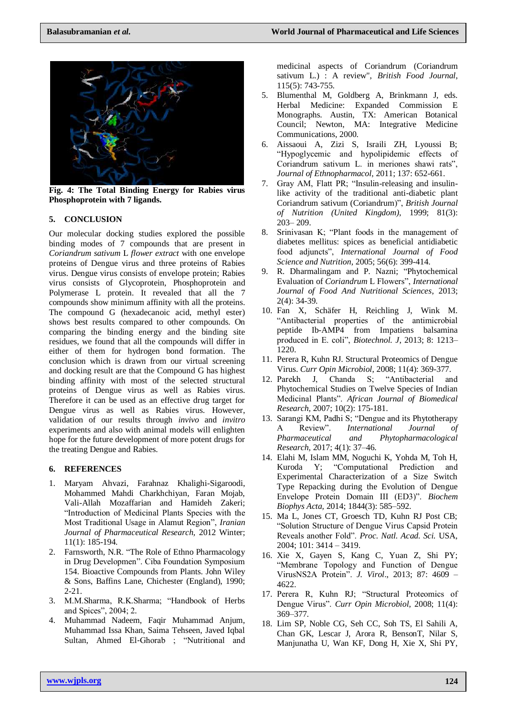

**Fig. 4: The Total Binding Energy for Rabies virus Phosphoprotein with 7 ligands.**

# **5. CONCLUSION**

Our molecular docking studies explored the possible binding modes of 7 compounds that are present in *Coriandrum sativum* L *flower extract* with one envelope proteins of Dengue virus and three proteins of Rabies virus. Dengue virus consists of envelope protein; Rabies virus consists of Glycoprotein, Phosphoprotein and Polymerase L protein. It revealed that all the 7 compounds show minimum affinity with all the proteins. The compound G (hexadecanoic acid, methyl ester) shows best results compared to other compounds. On comparing the binding energy and the binding site residues, we found that all the compounds will differ in either of them for hydrogen bond formation. The conclusion which is drawn from our virtual screening and docking result are that the Compound G has highest binding affinity with most of the selected structural proteins of Dengue virus as well as Rabies virus. Therefore it can be used as an effective drug target for Dengue virus as well as Rabies virus. However, validation of our results through *invivo* and *invitro* experiments and also with animal models will enlighten hope for the future development of more potent drugs for the treating Dengue and Rabies.

### **6. REFERENCES**

- 1. Maryam Ahvazi, Farahnaz Khalighi-Sigaroodi, Mohammed Mahdi Charkhchiyan, Faran Mojab, Vali-Allah Mozaffarian and Hamideh Zakeri; "Introduction of Medicinal Plants Species with the Most Traditional Usage in Alamut Region", *Iranian Journal of Pharmaceutical Research,* 2012 Winter; 11(1): 185-194.
- 2. Farnsworth, N.R. "The Role of Ethno Pharmacology in Drug Developmen". Ciba Foundation Symposium 154. Bioactive Compounds from Plants. John Wiley & Sons, Baffins Lane, Chichester (England), 1990; 2-21.
- 3. M.M.Sharma, R.K.Sharma; "Handbook of Herbs and Spices", 2004; 2.
- 4. Muhammad Nadeem, Faqir Muhammad Anjum, Muhammad Issa Khan, Saima Tehseen, Javed Iqbal Sultan, Ahmed El‐Ghorab ; "Nutritional and

medicinal aspects of Coriandrum (Coriandrum sativum L.) : A review", *British Food Journal*, 115(5): 743-755.

- 5. Blumenthal M, Goldberg A, Brinkmann J, eds. Herbal Medicine: Expanded Commission E Monographs. Austin, TX: American Botanical Council; Newton, MA: Integrative Medicine Communications, 2000.
- 6. Aissaoui A, Zizi S, Israili ZH, Lyoussi B; "Hypoglycemic and hypolipidemic effects of Coriandrum sativum L. in meriones shawi rats", *Journal of Ethnopharmacol*, 2011; 137: 652-661.
- Gray AM, Flatt PR; "Insulin-releasing and insulinlike activity of the traditional anti-diabetic plant Coriandrum sativum (Coriandrum)", *British Journal of Nutrition (United Kingdom)*, 1999; 81(3): 203– 209.
- 8. Srinivasan K; "Plant foods in the management of diabetes mellitus: spices as beneficial antidiabetic food adjuncts", *International Journal of Food Science and Nutrition*, 2005; 56(6): 399-414.
- 9. R. Dharmalingam and P. Nazni; "Phytochemical Evaluation of *Coriandrum* L Flowers", *International Journal of Food And Nutritional Sciences*, 2013; 2(4): 34-39.
- 10. Fan X, Schäfer H, Reichling J, Wink M. "Antibacterial properties of the antimicrobial peptide Ib-AMP4 from Impatiens balsamina produced in E. coli", *Biotechnol. J*, 2013; 8: 1213– 1220.
- 11. Perera R, Kuhn RJ. Structural Proteomics of Dengue Virus. *Curr Opin Microbiol*, 2008; 11(4): 369-377.
- 12. Parekh J, Chanda S; "Antibacterial and Phytochemical Studies on Twelve Species of Indian Medicinal Plants". *African Journal of Biomedical Research,* 2007; 10(2): 175-181.
- 13. Sarangi KM, Padhi S; "Dengue and its Phytotherapy A Review". *International Journal of Pharmaceutical and Phytopharmacological Research,* 2017; 4(1): 37–46.
- 14. Elahi M, Islam MM, Noguchi K, Yohda M, Toh H, Kuroda Y; "Computational Prediction and Experimental Characterization of a Size Switch Type Repacking during the Evolution of Dengue Envelope Protein Domain III (ED3)". *Biochem Biophys Acta,* 2014; 1844(3): 585–592.
- 15. Ma L, Jones CT, Groesch TD, Kuhn RJ Post CB; "Solution Structure of Dengue Virus Capsid Protein Reveals another Fold". *Proc. Natl. Acad. Sci.* USA, 2004; 101: 3414 – 3419.
- 16. Xie X, Gayen S, Kang C, Yuan Z, Shi PY; "Membrane Topology and Function of Dengue VirusNS2A Protein". *J. Virol*., 2013; 87: 4609 – 4622.
- 17. Perera R, Kuhn RJ; "Structural Proteomics of Dengue Virus". *Curr Opin Microbiol*, 2008; 11(4): 369–377.
- 18. Lim SP, Noble CG, Seh CC, Soh TS, El Sahili A, Chan GK, Lescar J, Arora R, BensonT, Nilar S, Manjunatha U, Wan KF, Dong H, Xie X, Shi PY,